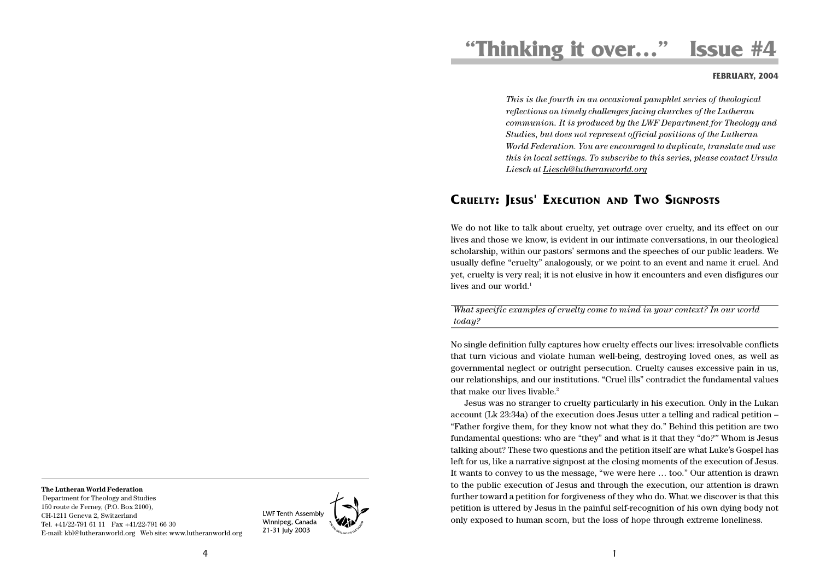# **"Thinking it over…" Issue #4**

### **FEBRUARY, 2004**

*This is the fourth in an occasional pamphlet series of theological reflections on timely challenges facing churches of the Lutheran communion. It is produced by the LWF Department for Theology and Studies, but does not represent official positions of the Lutheran World Federation. You are encouraged to duplicate, translate and use this in local settings. To subscribe to this series, please contact Ursula Liesch at Liesch@lutheranworld.org*

# **CRUELTY: JESUS' EXECUTION AND TWO SIGNPOSTS**

We do not like to talk about cruelty, yet outrage over cruelty, and its effect on our lives and those we know, is evident in our intimate conversations, in our theological scholarship, within our pastors' sermons and the speeches of our public leaders. We usually define "cruelty" analogously, or we point to an event and name it cruel. And yet, cruelty is very real; it is not elusive in how it encounters and even disfigures our lives and our world. $1$ 

*What specific examples of cruelty come to mind in your context? In our world today?*

No single definition fully captures how cruelty effects our lives: irresolvable conflicts that turn vicious and violate human well-being, destroying loved ones, as well as governmental neglect or outright persecution. Cruelty causes excessive pain in us, our relationships, and our institutions. "Cruel ills" contradict the fundamental values that make our lives livable.<sup>2</sup>

Jesus was no stranger to cruelty particularly in his execution. Only in the Lukan account (Lk 23:34a) of the execution does Jesus utter a telling and radical petition – "Father forgive them, for they know not what they do." Behind this petition are two fundamental questions: who are "they" and what is it that they "do*?"* Whom is Jesus talking about? These two questions and the petition itself are what Luke's Gospel has left for us, like a narrative signpost at the closing moments of the execution of Jesus. It wants to convey to us the message, "we were here … too." Our attention is drawn to the public execution of Jesus and through the execution, our attention is drawn further toward a petition for forgiveness of they who do. What we discover is that this petition is uttered by Jesus in the painful self-recognition of his own dying body not only exposed to human scorn, but the loss of hope through extreme loneliness.

#### **The Lutheran World Federation**

 Department for Theology and Studies 150 route de Ferney, (P.O. Box 2100), CH-1211 Geneva 2, Switzerland Tel. +41/22-791 61 11 Fax +41/22-791 66 30 E-mail: kbl@lutheranworld.org Web site: www.lutheranworld.org